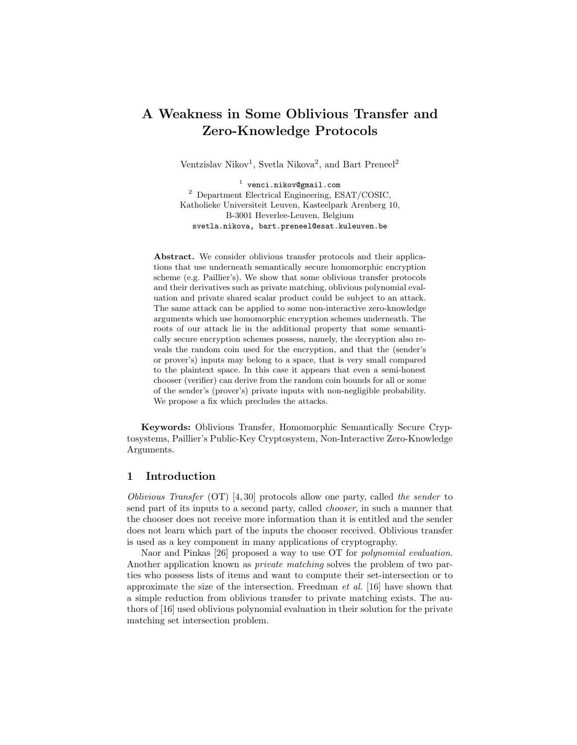# A Weakness in Some Oblivious Transfer and Zero-Knowledge Protocols

Ventzislav Nikov<sup>1</sup>, Svetla Nikova<sup>2</sup>, and Bart Preneel<sup>2</sup>

 $<sup>1</sup>$  venci.nikov@gmail.com</sup> <sup>2</sup> Department Electrical Engineering, ESAT/COSIC, Katholieke Universiteit Leuven, Kasteelpark Arenberg 10, B-3001 Heverlee-Leuven, Belgium svetla.nikova, bart.preneel@esat.kuleuven.be

Abstract. We consider oblivious transfer protocols and their applications that use underneath semantically secure homomorphic encryption scheme (e.g. Paillier's). We show that some oblivious transfer protocols and their derivatives such as private matching, oblivious polynomial evaluation and private shared scalar product could be subject to an attack. The same attack can be applied to some non-interactive zero-knowledge arguments which use homomorphic encryption schemes underneath. The roots of our attack lie in the additional property that some semantically secure encryption schemes possess, namely, the decryption also reveals the random coin used for the encryption, and that the (sender's or prover's) inputs may belong to a space, that is very small compared to the plaintext space. In this case it appears that even a semi-honest chooser (verifier) can derive from the random coin bounds for all or some of the sender's (prover's) private inputs with non-negligible probability. We propose a fix which precludes the attacks.

Keywords: Oblivious Transfer, Homomorphic Semantically Secure Cryptosystems, Paillier's Public-Key Cryptosystem, Non-Interactive Zero-Knowledge Arguments.

# 1 Introduction

Oblivious Transfer (OT) [4, 30] protocols allow one party, called the sender to send part of its inputs to a second party, called chooser, in such a manner that the chooser does not receive more information than it is entitled and the sender does not learn which part of the inputs the chooser received. Oblivious transfer is used as a key component in many applications of cryptography.

Naor and Pinkas [26] proposed a way to use OT for polynomial evaluation. Another application known as private matching solves the problem of two parties who possess lists of items and want to compute their set-intersection or to approximate the size of the intersection. Freedman et al. [16] have shown that a simple reduction from oblivious transfer to private matching exists. The authors of [16] used oblivious polynomial evaluation in their solution for the private matching set intersection problem.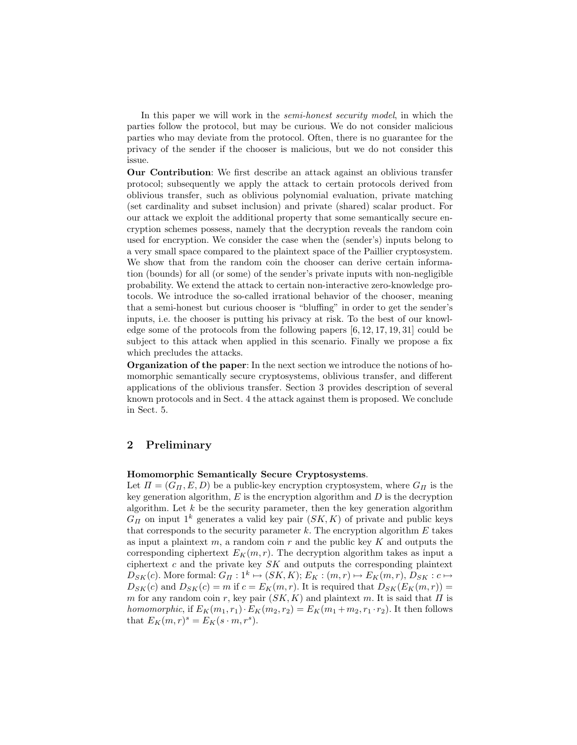In this paper we will work in the *semi-honest security model*, in which the parties follow the protocol, but may be curious. We do not consider malicious parties who may deviate from the protocol. Often, there is no guarantee for the privacy of the sender if the chooser is malicious, but we do not consider this issue.

Our Contribution: We first describe an attack against an oblivious transfer protocol; subsequently we apply the attack to certain protocols derived from oblivious transfer, such as oblivious polynomial evaluation, private matching (set cardinality and subset inclusion) and private (shared) scalar product. For our attack we exploit the additional property that some semantically secure encryption schemes possess, namely that the decryption reveals the random coin used for encryption. We consider the case when the (sender's) inputs belong to a very small space compared to the plaintext space of the Paillier cryptosystem. We show that from the random coin the chooser can derive certain information (bounds) for all (or some) of the sender's private inputs with non-negligible probability. We extend the attack to certain non-interactive zero-knowledge protocols. We introduce the so-called irrational behavior of the chooser, meaning that a semi-honest but curious chooser is "bluffing" in order to get the sender's inputs, i.e. the chooser is putting his privacy at risk. To the best of our knowledge some of the protocols from the following papers [6, 12, 17, 19, 31] could be subject to this attack when applied in this scenario. Finally we propose a fix which precludes the attacks.

Organization of the paper: In the next section we introduce the notions of homomorphic semantically secure cryptosystems, oblivious transfer, and different applications of the oblivious transfer. Section 3 provides description of several known protocols and in Sect. 4 the attack against them is proposed. We conclude in Sect. 5.

# 2 Preliminary

### Homomorphic Semantically Secure Cryptosystems.

Let  $\Pi = (G_{\Pi}, E, D)$  be a public-key encryption cryptosystem, where  $G_{\Pi}$  is the key generation algorithm,  $E$  is the encryption algorithm and  $D$  is the decryption algorithm. Let  $k$  be the security parameter, then the key generation algorithm  $G_{\Pi}$  on input 1<sup>k</sup> generates a valid key pair  $(SK, K)$  of private and public keys that corresponds to the security parameter  $k$ . The encryption algorithm  $E$  takes as input a plaintext  $m$ , a random coin  $r$  and the public key  $K$  and outputs the corresponding ciphertext  $E_K(m, r)$ . The decryption algorithm takes as input a ciphertext  $c$  and the private key  $SK$  and outputs the corresponding plaintext  $D_{SK}(c)$ . More formal:  $G_{\Pi}: 1^k \mapsto (SK, K); E_K : (m, r) \mapsto E_K(m, r), D_{SK} : c \mapsto$  $D_{SK}(c)$  and  $D_{SK}(c) = m$  if  $c = E_K(m, r)$ . It is required that  $D_{SK}(E_K(m, r)) =$ m for any random coin r, key pair  $(SK, K)$  and plaintext m. It is said that  $\Pi$  is homomorphic, if  $E_K(m_1,r_1)\cdot E_K(m_2,r_2) = E_K(m_1+m_2,r_1\cdot r_2)$ . It then follows that  $E_K(m,r)^s = E_K(s \cdot m, r^s)$ .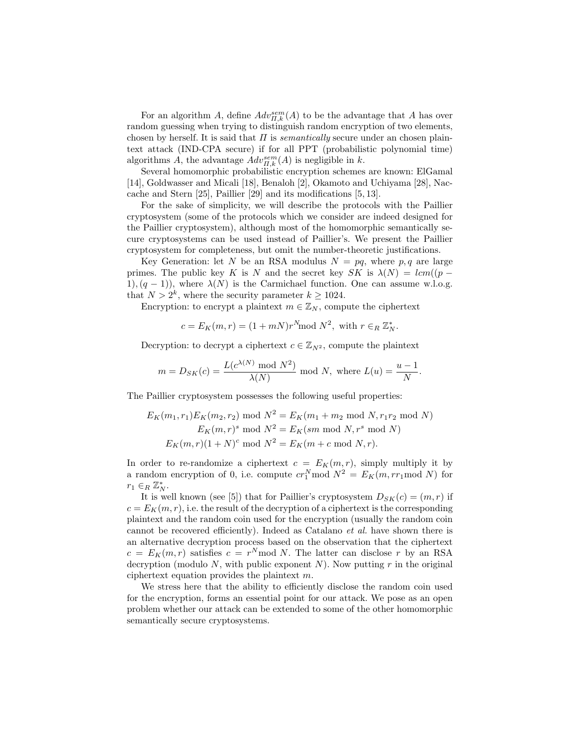For an algorithm A, define  $Adv_{\Pi,k}^{sem}(A)$  to be the advantage that A has over random guessing when trying to distinguish random encryption of two elements, chosen by herself. It is said that  $\Pi$  is *semantically* secure under an chosen plaintext attack (IND-CPA secure) if for all PPT (probabilistic polynomial time) algorithms A, the advantage  $Adv_{\Pi,k}^{sem}(A)$  is negligible in k.

Several homomorphic probabilistic encryption schemes are known: ElGamal [14], Goldwasser and Micali [18], Benaloh [2], Okamoto and Uchiyama [28], Naccache and Stern [25], Paillier [29] and its modifications [5, 13].

For the sake of simplicity, we will describe the protocols with the Paillier cryptosystem (some of the protocols which we consider are indeed designed for the Paillier cryptosystem), although most of the homomorphic semantically secure cryptosystems can be used instead of Paillier's. We present the Paillier cryptosystem for completeness, but omit the number-theoretic justifications.

Key Generation: let N be an RSA modulus  $N = pq$ , where p, q are large primes. The public key K is N and the secret key SK is  $\lambda(N) = lcm((p -$ 1),  $(q - 1)$ ), where  $\lambda(N)$  is the Carmichael function. One can assume w.l.o.g. that  $N > 2^k$ , where the security parameter  $k \ge 1024$ .

Encryption: to encrypt a plaintext  $m \in \mathbb{Z}_N$ , compute the ciphertext

 $c = E_K(m, r) = (1 + mN)r^{N} \text{mod } N^2$ , with  $r \in_R \mathbb{Z}_N^*$ .

Decryption: to decrypt a ciphertext  $c \in \mathbb{Z}_{N^2}$ , compute the plaintext

$$
m = D_{SK}(c) = \frac{L(c^{\lambda(N)} \mod N^2)}{\lambda(N)} \mod N, \text{ where } L(u) = \frac{u-1}{N}
$$

.

The Paillier cryptosystem possesses the following useful properties:

$$
E_K(m_1, r_1)E_K(m_2, r_2) \text{ mod } N^2 = E_K(m_1 + m_2 \text{ mod } N, r_1r_2 \text{ mod } N)
$$
  

$$
E_K(m, r)^s \text{ mod } N^2 = E_K(sm \text{ mod } N, r^s \text{ mod } N)
$$
  

$$
E_K(m, r)(1 + N)^c \text{ mod } N^2 = E_K(m + c \text{ mod } N, r).
$$

In order to re-randomize a ciphertext  $c = E_K(m, r)$ , simply multiply it by a random encryption of 0, i.e. compute  $cr_1^N \text{mod } N^2 = E_K(m, rr_1 \text{mod } N)$  for  $r_1 \in_R \mathbb{Z}_N^*$ .

It is well known (see [5]) that for Paillier's cryptosystem  $D_{SK}(c) = (m, r)$  if  $c = E_K(m, r)$ , i.e. the result of the decryption of a ciphertext is the corresponding plaintext and the random coin used for the encryption (usually the random coin cannot be recovered efficiently). Indeed as Catalano et al. have shown there is an alternative decryption process based on the observation that the ciphertext  $c = E_K(m,r)$  satisfies  $c = r^N \mod N$ . The latter can disclose r by an RSA decryption (modulo  $N$ , with public exponent  $N$ ). Now putting  $r$  in the original ciphertext equation provides the plaintext m.

We stress here that the ability to efficiently disclose the random coin used for the encryption, forms an essential point for our attack. We pose as an open problem whether our attack can be extended to some of the other homomorphic semantically secure cryptosystems.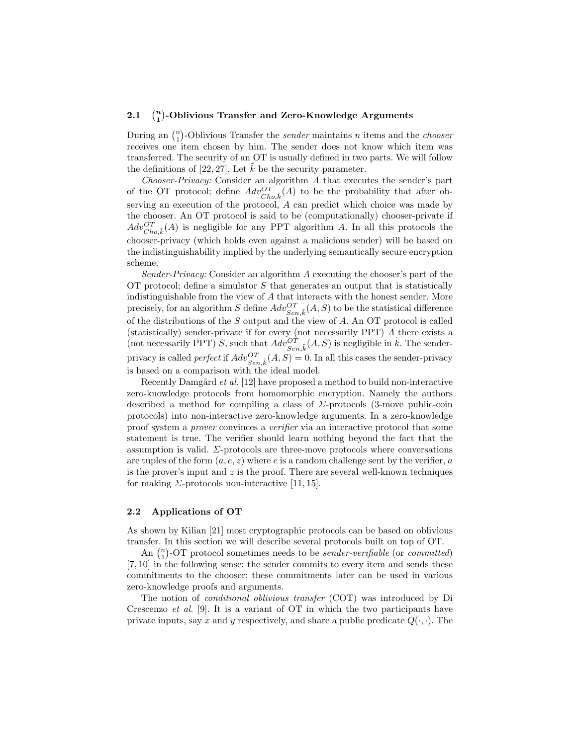#### $2.1$  $\binom{n}{1}$ -Oblivious Transfer and Zero-Knowledge Arguments

During an  $\binom{n}{1}$ -Oblivious Transfer the *sender* maintains *n* items and the *chooser* receives one item chosen by him. The sender does not know which item was transferred. The security of an OT is usually defined in two parts. We will follow the definitions of [22, 27]. Let  $\tilde{k}$  be the security parameter.

Chooser-Privacy: Consider an algorithm A that executes the sender's part of the OT protocol; define  $Adv_{Cho,\tilde{k}}^{OT}(A)$  to be the probability that after observing an execution of the protocol, A can predict which choice was made by the chooser. An OT protocol is said to be (computationally) chooser-private if  $Adv_{Cho,\tilde{k}}^{OT}(A)$  is negligible for any PPT algorithm A. In all this protocols the chooser-privacy (which holds even against a malicious sender) will be based on the indistinguishability implied by the underlying semantically secure encryption scheme.

Sender-Privacy: Consider an algorithm A executing the chooser's part of the OT protocol; define a simulator  $S$  that generates an output that is statistically indistinguishable from the view of A that interacts with the honest sender. More precisely, for an algorithm  $S$  define  $Adv^{OT}_{Sen, \tilde{k}}(A,S)$  to be the statistical difference of the distributions of the S output and the view of A. An OT protocol is called (statistically) sender-private if for every (not necessarily PPT) A there exists a (not necessarily PPT) S, such that  $Adv^{OT}_{Sen, \tilde{k}}(A, S)$  is negligible in  $\tilde{k}$ . The senderprivacy is called *perfect* if  $Adv_{Sen,\tilde{k}}^{OT}(A, S) = 0$ . In all this cases the sender-privacy is based on a comparison with the ideal model.

Recently Damgård et al. [12] have proposed a method to build non-interactive zero-knowledge protocols from homomorphic encryption. Namely the authors described a method for compiling a class of  $\Sigma$ -protocols (3-move public-coin protocols) into non-interactive zero-knowledge arguments. In a zero-knowledge proof system a prover convinces a verifier via an interactive protocol that some statement is true. The verifier should learn nothing beyond the fact that the assumption is valid.  $\Sigma$ -protocols are three-move protocols where conversations are tuples of the form  $(a, e, z)$  where e is a random challenge sent by the verifier, a is the prover's input and  $z$  is the proof. There are several well-known techniques for making  $\Sigma$ -protocols non-interactive [11, 15].

#### 2.2 Applications of OT

As shown by Kilian [21] most cryptographic protocols can be based on oblivious transfer. In this section we will describe several protocols built on top of OT.

An  $\binom{n}{1}$ -OT protocol sometimes needs to be *sender-verifiable* (or *committed*) [7, 10] in the following sense: the sender commits to every item and sends these commitments to the chooser; these commitments later can be used in various zero-knowledge proofs and arguments.

The notion of conditional oblivious transfer (COT) was introduced by Di Crescenzo et al. [9]. It is a variant of OT in which the two participants have private inputs, say x and y respectively, and share a public predicate  $Q(\cdot, \cdot)$ . The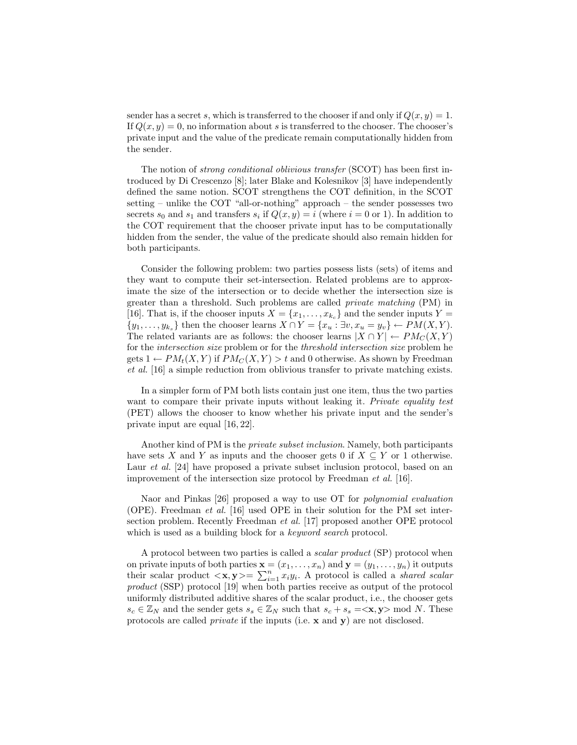sender has a secret s, which is transferred to the chooser if and only if  $Q(x, y) = 1$ . If  $Q(x, y) = 0$ , no information about s is transferred to the chooser. The chooser's private input and the value of the predicate remain computationally hidden from the sender.

The notion of strong conditional oblivious transfer (SCOT) has been first introduced by Di Crescenzo [8]; later Blake and Kolesnikov [3] have independently defined the same notion. SCOT strengthens the COT definition, in the SCOT setting – unlike the COT "all-or-nothing" approach – the sender possesses two secrets  $s_0$  and  $s_1$  and transfers  $s_i$  if  $Q(x, y) = i$  (where  $i = 0$  or 1). In addition to the COT requirement that the chooser private input has to be computationally hidden from the sender, the value of the predicate should also remain hidden for both participants.

Consider the following problem: two parties possess lists (sets) of items and they want to compute their set-intersection. Related problems are to approximate the size of the intersection or to decide whether the intersection size is greater than a threshold. Such problems are called private matching (PM) in [16]. That is, if the chooser inputs  $X = \{x_1, \ldots, x_{k_c}\}\$  and the sender inputs  $Y =$  $\{y_1, \ldots, y_{k_s}\}\$  then the chooser learns  $X \cap Y = \{x_u : \exists v, x_u = y_v\} \leftarrow PM(X, Y)$ . The related variants are as follows: the chooser learns  $|X \cap Y| \leftarrow PM_C(X, Y)$ for the intersection size problem or for the threshold intersection size problem he gets  $1 \leftarrow PM_t(X, Y)$  if  $PM_c(X, Y) > t$  and 0 otherwise. As shown by Freedman et al. [16] a simple reduction from oblivious transfer to private matching exists.

In a simpler form of PM both lists contain just one item, thus the two parties want to compare their private inputs without leaking it. Private equality test (PET) allows the chooser to know whether his private input and the sender's private input are equal [16, 22].

Another kind of PM is the private subset inclusion. Namely, both participants have sets X and Y as inputs and the chooser gets 0 if  $X \subseteq Y$  or 1 otherwise. Laur *et al.* [24] have proposed a private subset inclusion protocol, based on an improvement of the intersection size protocol by Freedman *et al.* [16].

Naor and Pinkas [26] proposed a way to use OT for polynomial evaluation (OPE). Freedman et al. [16] used OPE in their solution for the PM set intersection problem. Recently Freedman *et al.* [17] proposed another OPE protocol which is used as a building block for a *keyword search* protocol.

A protocol between two parties is called a scalar product (SP) protocol when on private inputs of both parties  $\mathbf{x} = (x_1, \ldots, x_n)$  and  $\mathbf{y} = (y_1, \ldots, y_n)$  it outputs their scalar product  $\langle x, y \rangle = \sum_{i=1}^{n} x_i y_i$ . A protocol is called a *shared scalar* product (SSP) protocol [19] when both parties receive as output of the protocol uniformly distributed additive shares of the scalar product, i.e., the chooser gets  $s_c \in \mathbb{Z}_N$  and the sender gets  $s_s \in \mathbb{Z}_N$  such that  $s_c + s_s = \langle x, y \rangle$  mod N. These protocols are called private if the inputs (i.e. x and y) are not disclosed.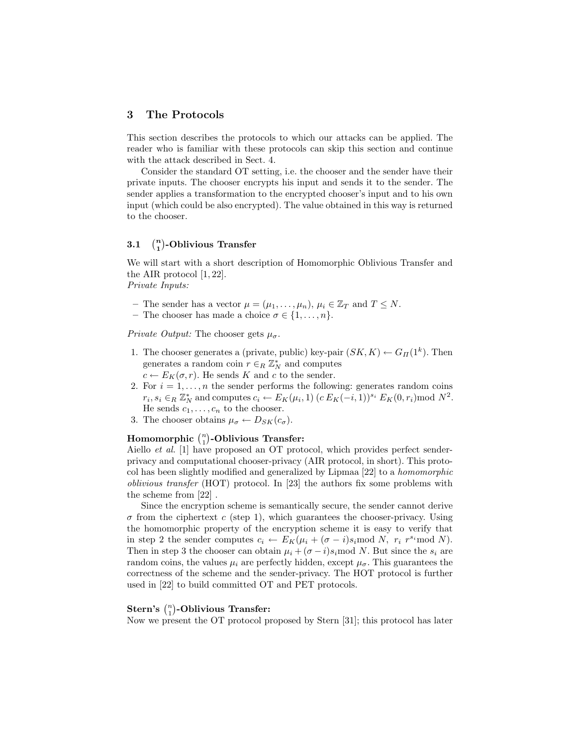# 3 The Protocols

This section describes the protocols to which our attacks can be applied. The reader who is familiar with these protocols can skip this section and continue with the attack described in Sect. 4.

Consider the standard OT setting, i.e. the chooser and the sender have their private inputs. The chooser encrypts his input and sends it to the sender. The sender applies a transformation to the encrypted chooser's input and to his own input (which could be also encrypted). The value obtained in this way is returned to the chooser.

#### $3.1$  $\binom{n}{1}$ -Oblivious Transfer

We will start with a short description of Homomorphic Oblivious Transfer and the AIR protocol [1, 22].

Private Inputs:

- The sender has a vector  $\mu = (\mu_1, \ldots, \mu_n)$ ,  $\mu_i \in \mathbb{Z}_T$  and  $T \leq N$ .
- The chooser has made a choice  $\sigma \in \{1, \ldots, n\}.$

*Private Output:* The chooser gets  $\mu_{\sigma}$ .

- 1. The chooser generates a (private, public) key-pair  $(SK, K) \leftarrow G_{\Pi}(1^k)$ . Then generates a random coin  $r \in_R \mathbb{Z}_N^*$  and computes
	- $c \leftarrow E_K(\sigma, r)$ . He sends K and c to the sender.
- 2. For  $i = 1, \ldots, n$  the sender performs the following: generates random coins  $r_i, s_i \in_R \mathbb{Z}_N^*$  and computes  $c_i \leftarrow E_K(\mu_i, 1)$   $(c E_K(-i, 1))^{s_i} E_K(0, r_i) \text{mod } N^2$ . He sends  $c_1, \ldots, c_n$  to the chooser.
- 3. The chooser obtains  $\mu_{\sigma} \leftarrow D_{SK}(c_{\sigma})$ .

# Homomorphic  $\binom{n}{1}$ -Oblivious Transfer:

Aiello et al. [1] have proposed an OT protocol, which provides perfect senderprivacy and computational chooser-privacy (AIR protocol, in short). This protocol has been slightly modified and generalized by Lipmaa [22] to a homomorphic oblivious transfer (HOT) protocol. In [23] the authors fix some problems with the scheme from [22] .

Since the encryption scheme is semantically secure, the sender cannot derive  $\sigma$  from the ciphertext c (step 1), which guarantees the chooser-privacy. Using the homomorphic property of the encryption scheme it is easy to verify that in step 2 the sender computes  $c_i \leftarrow E_K(\mu_i + (\sigma - i)s_i \mod N, r_i r^{s_i} \mod N)$ . Then in step 3 the chooser can obtain  $\mu_i + (\sigma - i)s_i$  mod N. But since the  $s_i$  are random coins, the values  $\mu_i$  are perfectly hidden, except  $\mu_{\sigma}$ . This guarantees the correctness of the scheme and the sender-privacy. The HOT protocol is further used in [22] to build committed OT and PET protocols.

# $\textbf{Stern's } \binom{n}{1}$ -Oblivious Transfer:

Now we present the OT protocol proposed by Stern [31]; this protocol has later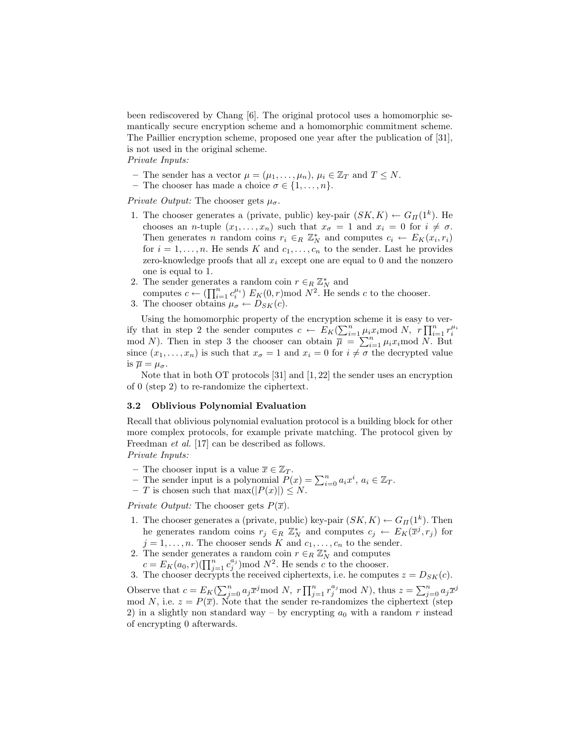been rediscovered by Chang [6]. The original protocol uses a homomorphic semantically secure encryption scheme and a homomorphic commitment scheme. The Paillier encryption scheme, proposed one year after the publication of [31], is not used in the original scheme.

Private Inputs:

- The sender has a vector  $\mu = (\mu_1, \ldots, \mu_n)$ ,  $\mu_i \in \mathbb{Z}_T$  and  $T \leq N$ .
- The chooser has made a choice  $\sigma \in \{1, \ldots, n\}.$

*Private Output:* The chooser gets  $\mu_{\sigma}$ .

- 1. The chooser generates a (private, public) key-pair  $(SK, K) \leftarrow G_{\Pi}(1^k)$ . He chooses an *n*-tuple  $(x_1, \ldots, x_n)$  such that  $x_{\sigma} = 1$  and  $x_i = 0$  for  $i \neq \sigma$ . Then generates *n* random coins  $r_i \in_R \mathbb{Z}_N^*$  and computes  $c_i \leftarrow E_K(x_i, r_i)$ for  $i = 1, \ldots, n$ . He sends K and  $c_1, \ldots, c_n$  to the sender. Last he provides zero-knowledge proofs that all  $x_i$  except one are equal to 0 and the nonzero one is equal to 1.
- 2. The sender generates a random coin  $r \in_R \mathbb{Z}_N^*$  and
- computes  $c \leftarrow (\prod_{i=1}^n c_i^{\mu_i}) E_K(0, r) \mod N^2$ . He sends c to the chooser. 3. The chooser obtains  $\mu_{\sigma} \leftarrow D_{SK}(c)$ .

Using the homomorphic property of the encryption scheme it is easy to verify that in step 2 the sender computes  $c \leftarrow E_K(\sum_{i=1}^n \mu_i x_i \mod N, r \prod_{i=1}^n r_i^{\mu_i})$ mod N). Then in step 3 the chooser can obtain  $\overline{\mu} = \sum_{i=1}^{n} \mu_i x_i \text{ mod } N$ . But since  $(x_1, \ldots, x_n)$  is such that  $x_{\sigma} = 1$  and  $x_i = 0$  for  $i \neq \sigma$  the decrypted value is  $\overline{\mu} = \mu_{\sigma}$ .

Note that in both OT protocols [31] and [1, 22] the sender uses an encryption of 0 (step 2) to re-randomize the ciphertext.

#### 3.2 Oblivious Polynomial Evaluation

Recall that oblivious polynomial evaluation protocol is a building block for other more complex protocols, for example private matching. The protocol given by Freedman et al. [17] can be described as follows. Private Inputs:

- The chooser input is a value  $\overline{x} \in \mathbb{Z}_T$ . - The sender input is a polynomial  $\hat{P}(x) = \sum_{i=0}^{n} a_i x^i, a_i \in \mathbb{Z}_T$ .
- 
- T is chosen such that  $\max(|P(x)|) \leq N$ .

Private Output: The chooser gets  $P(\overline{x})$ .

- 1. The chooser generates a (private, public) key-pair  $(SK, K) \leftarrow G_{\Pi}(1^k)$ . Then he generates random coins  $r_j \in_R \mathbb{Z}_N^*$  and computes  $c_j \leftarrow E_K(\overline{x}^j, r_j)$  for  $j = 1, \ldots, n$ . The chooser sends K and  $c_1, \ldots, c_n$  to the sender.
- 2. The sender generates a random coin  $r \in R \mathbb{Z}_N^*$  and computes
- $c = E_K(a_0, r)(\prod_{j=1}^n c_j^{a_j}) \text{mod } N^2$ . He sends c to the chooser.
- 3. The chooser decrypts the received ciphertexts, i.e. he computes  $z = D_{SK}(c)$ .

Observe that  $c = E_K(\sum_{j=0}^n a_j \overline{x}^j \text{ mod } N, r \prod_{j=1}^n r_j^{a_j} \text{ mod } N)$ , thus  $z = \sum_{j=0}^n a_j \overline{x}^j$ mod N, i.e.  $z = P(\overline{x})$ . Note that the sender re-randomizes the ciphertext (step 2) in a slightly non standard way – by encrypting  $a_0$  with a random r instead of encrypting 0 afterwards.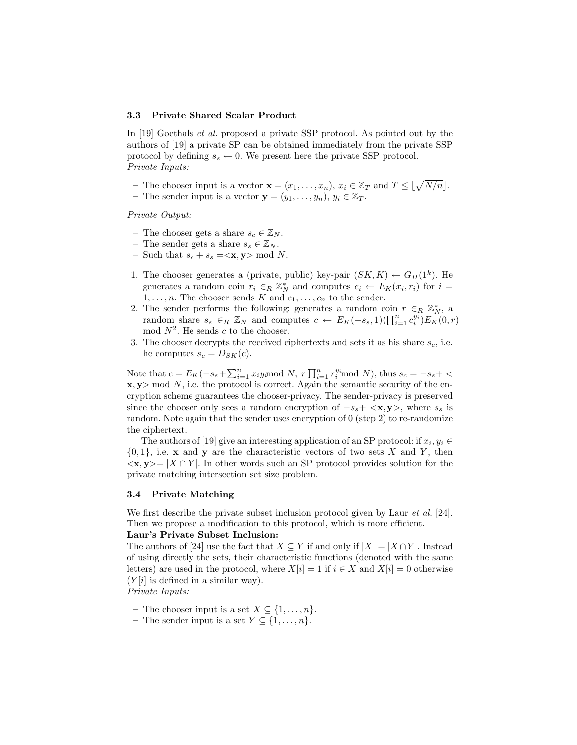#### 3.3 Private Shared Scalar Product

In [19] Goethals *et al.* proposed a private SSP protocol. As pointed out by the authors of [19] a private SP can be obtained immediately from the private SSP protocol by defining  $s_s \leftarrow 0$ . We present here the private SSP protocol. Private Inputs:

- The chooser input is a vector  $\mathbf{x} = (x_1, \ldots, x_n), x_i \in \mathbb{Z}_T$  and  $T \leq \lfloor \sqrt{N/n} \rfloor$ .
- The sender input is a vector  $\mathbf{y} = (y_1, \ldots, y_n), y_i \in \mathbb{Z}_T$ .

Private Output:

- The chooser gets a share  $s_c \in \mathbb{Z}_N$ .
- The sender gets a share  $s_s \in \mathbb{Z}_N$ .
- Such that  $s_c + s_s = \langle \mathbf{x}, \mathbf{y} \rangle \mod N$ .
- 1. The chooser generates a (private, public) key-pair  $(SK, K) \leftarrow G_{\Pi}(1^k)$ . He generates a random coin  $r_i \in_R \mathbb{Z}_N^*$  and computes  $c_i \leftarrow E_K(x_i, r_i)$  for  $i =$  $1, \ldots, n$ . The chooser sends K and  $c_1, \ldots, c_n$  to the sender.
- 2. The sender performs the following: generates a random coin  $r \in_R \mathbb{Z}_N^*$ , a random share  $s_s \in_R \mathbb{Z}_N$  and computes  $c \leftarrow E_K(-s_s, 1)(\prod_{i=1}^n c_i^{y_i})E_K(0, r)$ mod  $N^2$ . He sends c to the chooser.
- 3. The chooser decrypts the received ciphertexts and sets it as his share  $s_c$ , i.e. he computes  $s_c = D_{SK}(c)$ .

Note that  $c = E_K(-s_s + \sum_{i=1}^n x_i y_i \mod N, r \prod_{i=1}^n r_i^{y_i} \mod N)$ , thus  $s_c = -s_s + \langle$  $x, y$  mod N, i.e. the protocol is correct. Again the semantic security of the encryption scheme guarantees the chooser-privacy. The sender-privacy is preserved since the chooser only sees a random encryption of  $-s<sub>s</sub> + \langle x, y \rangle$ , where  $s<sub>s</sub>$  is random. Note again that the sender uses encryption of 0 (step 2) to re-randomize the ciphertext.

The authors of [19] give an interesting application of an SP protocol: if  $x_i, y_i \in$  $\{0, 1\}$ , i.e. x and y are the characteristic vectors of two sets X and Y, then  $\langle x, y \rangle = |X \cap Y|$ . In other words such an SP protocol provides solution for the private matching intersection set size problem.

#### 3.4 Private Matching

We first describe the private subset inclusion protocol given by Laur *et al.* [24]. Then we propose a modification to this protocol, which is more efficient.

# Laur's Private Subset Inclusion:

The authors of [24] use the fact that  $X \subseteq Y$  if and only if  $|X| = |X \cap Y|$ . Instead of using directly the sets, their characteristic functions (denoted with the same letters) are used in the protocol, where  $X[i] = 1$  if  $i \in X$  and  $X[i] = 0$  otherwise  $(Y[i]$  is defined in a similar way).

Private Inputs:

- The chooser input is a set  $X \subseteq \{1, \ldots, n\}.$
- The sender input is a set  $Y \subseteq \{1, \ldots, n\}.$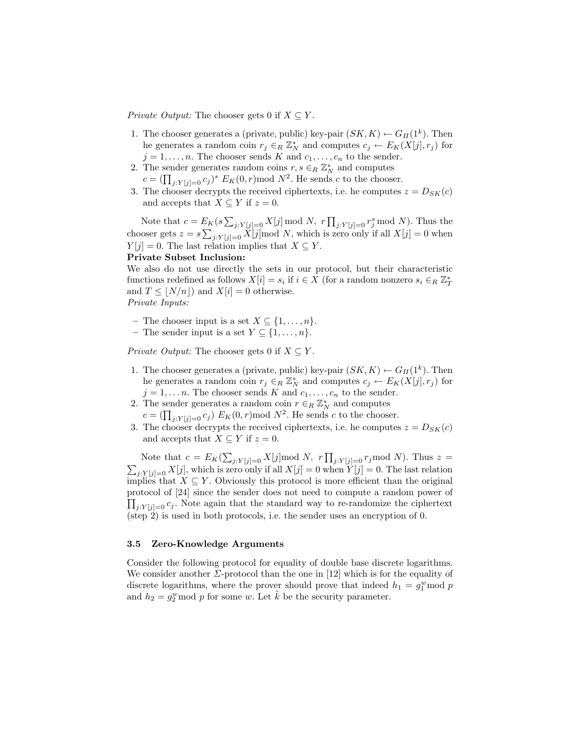*Private Output:* The chooser gets 0 if  $X \subseteq Y$ .

- 1. The chooser generates a (private, public) key-pair  $(SK, K) \leftarrow G_{\Pi}(1^k)$ . Then he generates a random coin  $r_j \in_R \mathbb{Z}_N^*$  and computes  $c_j \leftarrow E_K(X[j], r_j)$  for  $j = 1, \ldots, n$ . The chooser sends K and  $c_1, \ldots, c_n$  to the sender.
- 2. The sender generates random coins  $r, s \in_R \mathbb{Z}_N^*$  and computes  $c = (\prod_{j:Y[j]=0} c_j)^s E_K(0,r) \text{mod } N^2$ . He sends c to the chooser.
- 3. The chooser decrypts the received ciphertexts, i.e. he computes  $z = D_{SK}(c)$ and accepts that  $X \subseteq Y$  if  $z = 0$ .

Note that  $c = E_K(s \sum_{j:Y[j]=0} X[j] \bmod N$ ,  $r \prod_{j:Y[j]=0} r_j^s \bmod N$ . Thus the chooser gets  $z = s \sum_{j:Y[j]=0} X[j] \mod N$ , which is zero only if all  $X[j] = 0$  when  $Y[j] = 0$ . The last relation implies that  $X \subseteq Y$ .

# Private Subset Inclusion:

We also do not use directly the sets in our protocol, but their characteristic functions redefined as follows  $X[i] = s_i$  if  $i \in X$  (for a random nonzero  $s_i \in_R \mathbb{Z}_T^*$ and  $T \leq |N/n|$  and  $X[i] = 0$  otherwise. Private Inputs:

– The chooser input is a set  $X \subseteq \{1, \ldots, n\}.$ 

– The sender input is a set  $Y \subseteq \{1, \ldots, n\}.$ 

Private Output: The chooser gets 0 if  $X \subseteq Y$ .

- 1. The chooser generates a (private, public) key-pair  $(SK, K) \leftarrow G_{\Pi}(1^k)$ . Then he generates a random coin  $r_j \in_R \mathbb{Z}_N^*$  and computes  $c_j \leftarrow E_K(X[j], r_j)$  for  $j = 1, \ldots n$ . The chooser sends K and  $c_1, \ldots, c_n$  to the sender.
- 2. The sender generates a random coin  $r \in_R \mathbb{Z}_N^*$  and computes  $c = \left(\prod_{j:Y[j]=0} c_j\right) E_K(0,r) \text{ mod } N^2$ . He sends c to the chooser.
- 3. The chooser decrypts the received ciphertexts, i.e. he computes  $z = D_{SK}(c)$ and accepts that  $X \subseteq Y$  if  $z = 0$ .

Note that  $c = E_K(\sum_{j:Y[j]=0} X[j] \mod N$ ,  $r \prod_{j:Y[j]=0} r_j \mod N$ ). Thus  $z =$  $\sum_{j:Y[j]=0} X[j]$ , which is zero only if all  $X[j] = 0$  when  $Y[j] = 0$ . The last relation implies that  $X \subseteq Y$ . Obviously this protocol is more efficient than the original protocol of [24] since the sender does not need to compute a random power of  $\prod_{j:Y[j]=0} c_j$ . Note again that the standard way to re-randomize the ciphertext (step 2) is used in both protocols, i.e. the sender uses an encryption of 0.

# 3.5 Zero-Knowledge Arguments

Consider the following protocol for equality of double base discrete logarithms. We consider another  $\Sigma$ -protocol than the one in [12] which is for the equality of discrete logarithms, where the prover should prove that indeed  $h_1 = g_1^w \text{mod } p$ and  $h_2 = g_2^w \text{ mod } p$  for some w. Let  $\tilde{k}$  be the security parameter.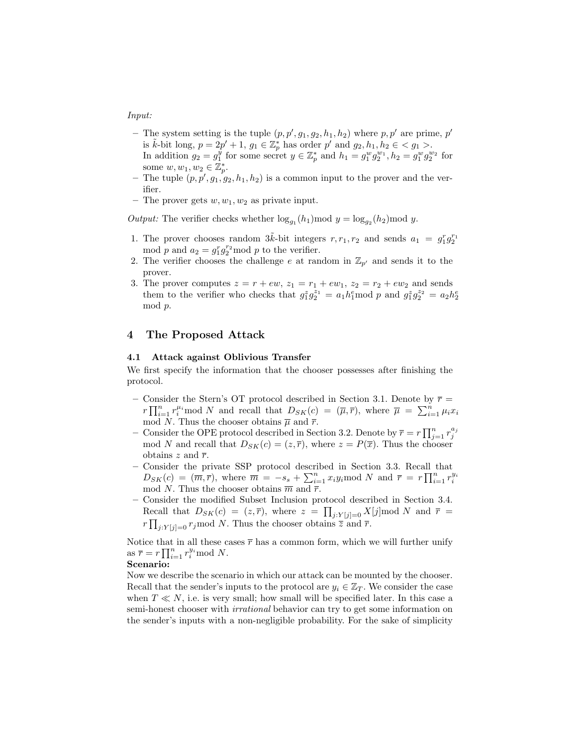#### Input:

- The system setting is the tuple  $(p, p', g_1, g_2, h_1, h_2)$  where  $p, p'$  are prime, p' is  $\tilde{k}$ -bit long,  $p = 2p' + 1$ ,  $g_1 \in \mathbb{Z}_p^*$  has order  $p'$  and  $g_2, h_1, h_2 \in \{g_1 > 0\}$ . In addition  $g_2 = g_1^y$  for some secret  $y \in \mathbb{Z}_p^*$  and  $h_1 = g_1^w g_2^{w_1}, h_2 = g_1^w g_2^{w_2}$  for some  $w, w_1, w_2 \in \mathbb{Z}_p^*$ .
- The tuple  $(p, p', g_1, g_2, h_1, h_2)$  is a common input to the prover and the verifier.
- The prover gets  $w, w_1, w_2$  as private input.

Output: The verifier checks whether  $\log_{g_1}(h_1) \mod y = \log_{g_2}(h_2) \mod y$ .

- 1. The prover chooses random  $3\tilde{k}$ -bit integers  $r, r_1, r_2$  and sends  $a_1 = g_1^r g_2^{r_1}$ mod p and  $a_2 = g_1^r g_2^{r_2}$  mod p to the verifier.
- 2. The verifier chooses the challenge e at random in  $\mathbb{Z}_{p'}$  and sends it to the prover.
- 3. The prover computes  $z = r + ew$ ,  $z_1 = r_1 + ew_1$ ,  $z_2 = r_2 + ew_2$  and sends them to the verifier who checks that  $g_1^z g_2^{z_1} = a_1 h_1^e \text{mod } p$  and  $g_1^z g_2^{z_2} = a_2 h_2^e$ mod p.

# 4 The Proposed Attack

# 4.1 Attack against Oblivious Transfer

We first specify the information that the chooser possesses after finishing the protocol.

- Consider the Stern's OT protocol described in Section 3.1. Denote by  $\bar{r}$  =  $r \prod_{i=1}^n r_i^{\mu_i}$  mod N and recall that  $D_{SK}(c) = (\overline{\mu}, \overline{r})$ , where  $\overline{\mu} = \sum_{i=1}^n \mu_i x_i$ mod N. Thus the chooser obtains  $\overline{\mu}$  and  $\overline{r}$ .
- Consider the OPE protocol described in Section 3.2. Denote by  $\bar{r} = r \prod_{j=1}^{n} r_j^{a_j}$ mod N and recall that  $D_{SK}(c) = (z, \overline{r})$ , where  $z = P(\overline{x})$ . Thus the chooser obtains z and  $\bar{r}$ .
- Consider the private SSP protocol described in Section 3.3. Recall that  $D_{SK}(c) = (\overline{m}, \overline{r})$ , where  $\overline{m} = -s_s + \sum_{i=1}^n x_i y_i$  mod N and  $\overline{r} = r \prod_{i=1}^n r_i^{y_i}$ mod N. Thus the chooser obtains  $\overline{m}$  and  $\overline{r}$ .
- Consider the modified Subset Inclusion protocol described in Section 3.4. Recall that  $D_{SK}(c) = (z, \overline{r})$ , where  $z = \prod_{j:Y[j]=0} X[j] \mod N$  and  $\overline{r} =$  $r \prod_{j:Y[j]=0} r_j \mod N$ . Thus the chooser obtains  $\overline{z}$  and  $\overline{r}$ .

Notice that in all these cases  $\bar{r}$  has a common form, which we will further unify as  $\overline{r} = r \prod_{i=1}^{n} r_i^{y_i} \text{mod } N$ .

#### Scenario:

Now we describe the scenario in which our attack can be mounted by the chooser. Recall that the sender's inputs to the protocol are  $y_i \in \mathbb{Z}_T$ . We consider the case when  $T \ll N$ , i.e. is very small; how small will be specified later. In this case a semi-honest chooser with *irrational* behavior can try to get some information on the sender's inputs with a non-negligible probability. For the sake of simplicity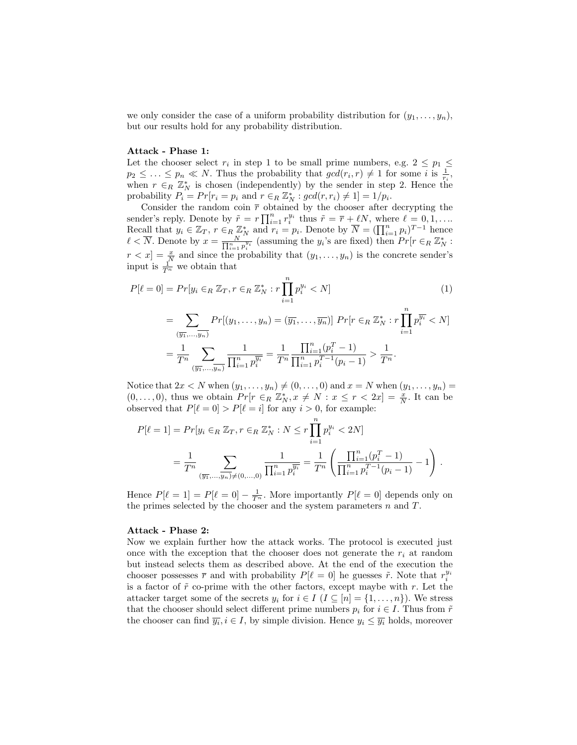we only consider the case of a uniform probability distribution for  $(y_1, \ldots, y_n)$ , but our results hold for any probability distribution.

#### Attack - Phase 1:

Let the chooser select  $r_i$  in step 1 to be small prime numbers, e.g.  $2 \leq p_1 \leq$  $p_2 \leq \ldots \leq p_n \ll N$ . Thus the probability that  $gcd(r_i, r) \neq 1$  for some i is  $\frac{1}{r_i}$ , when  $r \in_R \mathbb{Z}_N^*$  is chosen (independently) by the sender in step 2. Hence the probability  $P_i = Pr[r_i = p_i \text{ and } r \in_R \mathbb{Z}_N^* : gcd(r, r_i) \neq 1] = 1/p_i.$ 

Consider the random coin  $\bar{r}$  obtained by the chooser after decrypting the sender's reply. Denote by  $\tilde{r} = r \prod_{i=1}^n r_i^{y_i}$  thus  $\tilde{r} = \overline{r} + \ell N$ , where  $\ell = 0, 1, \ldots$ Recall that  $y_i \in \mathbb{Z}_T$ ,  $r \in_R \mathbb{Z}_N^*$  and  $r_i = p_i$ . Denote by  $\overline{N} = (\prod_{i=1}^n p_i)^{T-1}$  hence  $\ell < \overline{N}$ . Denote by  $x = \frac{N}{\prod_{i=1}^n p_i^{y_i}}$  (assuming the  $y_i$ 's are fixed) then  $Pr[r \in_R \mathbb{Z}_N^*$ :  $r < x$ ] =  $\frac{x}{N}$  and since the probability that  $(y_1, \ldots, y_n)$  is the concrete sender's input is  $\frac{1}{T^n}$  we obtain that

$$
P[\ell = 0] = Pr[y_i \in_R \mathbb{Z}_T, r \in_R \mathbb{Z}_N^* : r \prod_{i=1}^n p_i^{y_i} < N] \tag{1}
$$

$$
= \sum_{(\overline{y_1}, \dots, \overline{y_n})} Pr[(y_1, \dots, y_n) = (\overline{y_1}, \dots, \overline{y_n})] Pr[r \in_R \mathbb{Z}_N^* : r \prod_{i=1}^n p_i^{\overline{y_i}} < N]
$$
  

$$
= \frac{1}{T^n} \sum_{(\overline{y_1}, \dots, \overline{y_n})} \frac{1}{\prod_{i=1}^n p_i^{\overline{y_i}}} = \frac{1}{T^n} \frac{\prod_{i=1}^n (p_i^T - 1)}{\prod_{i=1}^n p_i^{T-1} (p_i - 1)} > \frac{1}{T^n}.
$$

Notice that  $2x < N$  when  $(y_1, \ldots, y_n) \neq (0, \ldots, 0)$  and  $x = N$  when  $(y_1, \ldots, y_n) =$  $(0, \ldots, 0)$ , thus we obtain  $Pr[r \in R \ \mathbb{Z}_N^*, x \neq N : x \leq r < 2x] = \frac{x}{N}$ . It can be observed that  $P[\ell = 0] > P[\ell = i]$  for any  $i > 0$ , for example:

$$
P[\ell = 1] = Pr[y_i \in_R \mathbb{Z}_T, r \in_R \mathbb{Z}_N^* : N \le r \prod_{i=1}^n p_i^{y_i} < 2N]
$$
\n
$$
= \frac{1}{T^n} \sum_{(\overline{y_1}, \dots, \overline{y_n}) \neq (0, \dots, 0)} \frac{1}{\prod_{i=1}^n p_i^{\overline{y_i}}} = \frac{1}{T^n} \left( \frac{\prod_{i=1}^n (p_i^T - 1)}{\prod_{i=1}^n p_i^{T-1} (p_i - 1)} - 1 \right).
$$

Hence  $P[\ell = 1] = P[\ell = 0] - \frac{1}{T^n}$ . More importantly  $P[\ell = 0]$  depends only on the primes selected by the chooser and the system parameters  $n$  and  $T$ .

#### Attack - Phase 2:

Now we explain further how the attack works. The protocol is executed just once with the exception that the chooser does not generate the  $r_i$  at random but instead selects them as described above. At the end of the execution the chooser possesses  $\bar{r}$  and with probability  $P[\ell = 0]$  he guesses  $\tilde{r}$ . Note that  $r_i^{y_i}$ is a factor of  $\tilde{r}$  co-prime with the other factors, except maybe with r. Let the attacker target some of the secrets  $y_i$  for  $i \in I$   $(I \subseteq [n] = \{1, \ldots, n\})$ . We stress that the chooser should select different prime numbers  $p_i$  for  $i \in I$ . Thus from  $\tilde{r}$ the chooser can find  $\overline{y_i}$ ,  $i \in I$ , by simple division. Hence  $y_i \leq \overline{y_i}$  holds, moreover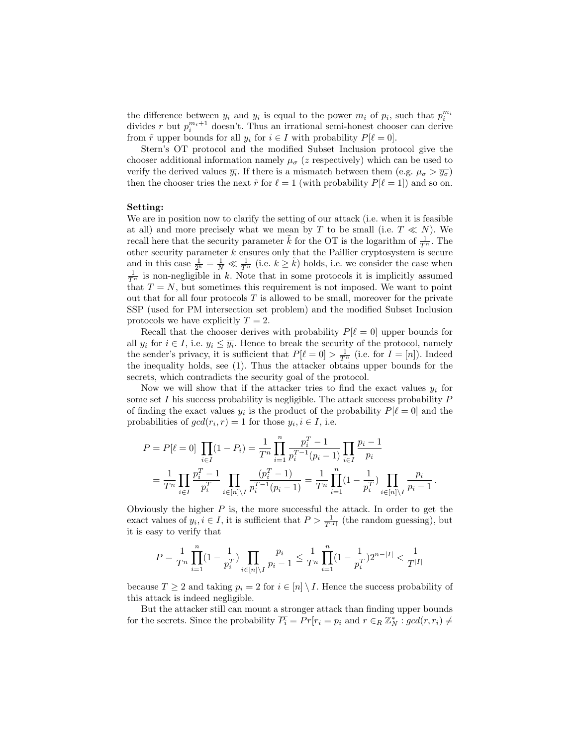the difference between  $\overline{y_i}$  and  $y_i$  is equal to the power  $m_i$  of  $p_i$ , such that  $p_i^{m_i}$ divides r but  $p_i^{m_i+1}$  doesn't. Thus an irrational semi-honest chooser can derive from  $\tilde{r}$  upper bounds for all  $y_i$  for  $i \in I$  with probability  $P[\ell = 0]$ .

Stern's OT protocol and the modified Subset Inclusion protocol give the chooser additional information namely  $\mu_{\sigma}$  (*z* respectively) which can be used to verify the derived values  $\overline{y_i}$ . If there is a mismatch between them (e.g.  $\mu_{\sigma} > \overline{y_{\sigma}}$ ) then the chooser tries the next  $\tilde{r}$  for  $\ell = 1$  (with probability  $P[\ell = 1]$ ) and so on.

# Setting:

We are in position now to clarify the setting of our attack (i.e. when it is feasible at all) and more precisely what we mean by T to be small (i.e.  $T \ll N$ ). We recall here that the security parameter  $\tilde{k}$  for the OT is the logarithm of  $\frac{1}{T^n}$ . The other security parameter  $k$  ensures only that the Paillier cryptosystem is secure and in this case  $\frac{1}{2^k} = \frac{1}{N} \ll \frac{1}{T^n}$  (i.e.  $k \ge \tilde{k}$ ) holds, i.e. we consider the case when  $\frac{1}{T^n}$  is non-negligible in k. Note that in some protocols it is implicitly assumed that  $T = N$ , but sometimes this requirement is not imposed. We want to point out that for all four protocols  $T$  is allowed to be small, moreover for the private SSP (used for PM intersection set problem) and the modified Subset Inclusion protocols we have explicitly  $T = 2$ .

Recall that the chooser derives with probability  $P[\ell = 0]$  upper bounds for all  $y_i$  for  $i \in I$ , i.e.  $y_i \leq \overline{y_i}$ . Hence to break the security of the protocol, namely the sender's privacy, it is sufficient that  $P[\ell = 0] > \frac{1}{T^n}$  (i.e. for  $I = [n]$ ). Indeed the inequality holds, see (1). Thus the attacker obtains upper bounds for the secrets, which contradicts the security goal of the protocol.

Now we will show that if the attacker tries to find the exact values  $y_i$  for some set I his success probability is negligible. The attack success probability  $P$ of finding the exact values  $y_i$  is the product of the probability  $P[\ell = 0]$  and the probabilities of  $gcd(r_i, r) = 1$  for those  $y_i, i \in I$ , i.e.

$$
P = P[\ell = 0] \prod_{i \in I} (1 - P_i) = \frac{1}{T^n} \prod_{i=1}^n \frac{p_i^T - 1}{p_i^{T-1}(p_i - 1)} \prod_{i \in I} \frac{p_i - 1}{p_i}
$$
  
= 
$$
\frac{1}{T^n} \prod_{i \in I} \frac{p_i^T - 1}{p_i^T} \prod_{i \in [n] \setminus I} \frac{(p_i^T - 1)}{p_i^{T-1}(p_i - 1)} = \frac{1}{T^n} \prod_{i=1}^n (1 - \frac{1}{p_i^T}) \prod_{i \in [n] \setminus I} \frac{p_i}{p_i - 1}.
$$

Obviously the higher  $P$  is, the more successful the attack. In order to get the exact values of  $y_i, i \in I$ , it is sufficient that  $P > \frac{1}{T^{|I|}}$  (the random guessing), but it is easy to verify that

$$
P = \frac{1}{T^n} \prod_{i=1}^n (1 - \frac{1}{p_i^T}) \prod_{i \in [n] \setminus I} \frac{p_i}{p_i - 1} \le \frac{1}{T^n} \prod_{i=1}^n (1 - \frac{1}{p_i^T}) 2^{n - |I|} < \frac{1}{T^{|I|}}
$$

because  $T \geq 2$  and taking  $p_i = 2$  for  $i \in [n] \setminus I$ . Hence the success probability of this attack is indeed negligible.

But the attacker still can mount a stronger attack than finding upper bounds for the secrets. Since the probability  $\overline{P_i} = \overline{P}r[r_i = p_i \text{ and } r \in_R \mathbb{Z}_N^* : \gcd(r, r_i) \neq 0$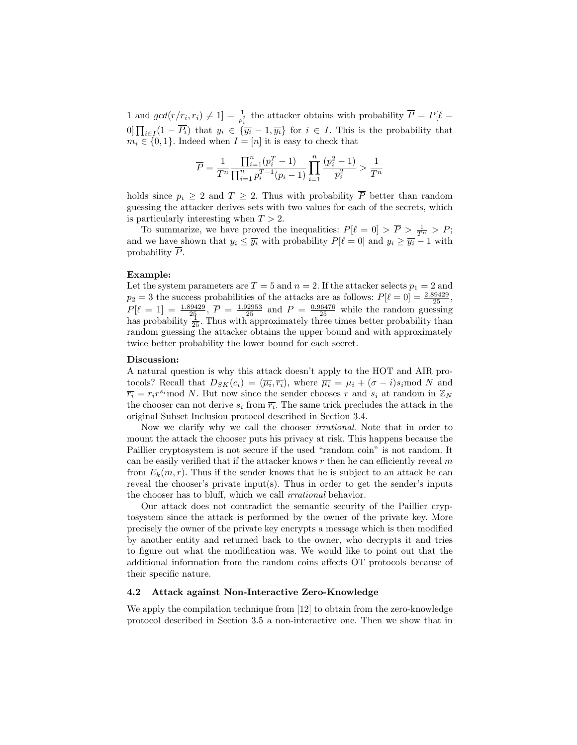1 and  $gcd(r/r_i, r_i) \neq 1$ ] =  $\frac{1}{p_i^2}$  the attacker obtains with probability  $\overline{P} = P[\ell =$  $[0] \prod_{i \in I} (1 - \overline{P_i})$  that  $y_i \in {\overline{y_i} - 1, \overline{y_i}}$  for  $i \in I$ . This is the probability that  $m_i \in \{0, 1\}$ . Indeed when  $I = [n]$  it is easy to check that

$$
\overline{P} = \frac{1}{T^n} \frac{\prod_{i=1}^n (p_i^T - 1)}{\prod_{i=1}^n p_i^{T-1} (p_i - 1)} \prod_{i=1}^n \frac{(p_i^2 - 1)}{p_i^2} > \frac{1}{T^n}
$$

holds since  $p_i \geq 2$  and  $T \geq 2$ . Thus with probability  $\overline{P}$  better than random guessing the attacker derives sets with two values for each of the secrets, which is particularly interesting when  $T > 2$ .

To summarize, we have proved the inequalities:  $P[\ell = 0] > \overline{P} > \frac{1}{T^n} > P$ ; and we have shown that  $y_i \leq \overline{y_i}$  with probability  $P[\ell = 0]$  and  $y_i \geq \overline{y_i} - 1$  with probability  $\overline{P}$ .

#### Example:

Let the system parameters are  $T = 5$  and  $n = 2$ . If the attacker selects  $p_1 = 2$  and  $p_2 = 3$  the success probabilities of the attacks are as follows:  $P[\ell = 0] = \frac{2.89429}{25}$ ,  $P[\ell = 1] = \frac{1.89429}{25}, \overline{P} = \frac{1.92953}{25}$  and  $P = \frac{0.96476}{25}$  while the random guessing has probability  $\frac{1}{25}$ . Thus with approximately three times better probability than random guessing the attacker obtains the upper bound and with approximately twice better probability the lower bound for each secret.

#### Discussion:

A natural question is why this attack doesn't apply to the HOT and AIR protocols? Recall that  $D_{SK}(c_i) = (\overline{\mu_i}, \overline{r_i})$ , where  $\overline{\mu_i} = \mu_i + (\sigma - i)s_i \mod N$  and  $\overline{r_i} = r_i r^{s_i}$  mod N. But now since the sender chooses r and  $s_i$  at random in  $\mathbb{Z}_N$ the chooser can not derive  $s_i$  from  $\overline{r_i}$ . The same trick precludes the attack in the original Subset Inclusion protocol described in Section 3.4.

Now we clarify why we call the chooser irrational. Note that in order to mount the attack the chooser puts his privacy at risk. This happens because the Paillier cryptosystem is not secure if the used "random coin" is not random. It can be easily verified that if the attacker knows  $r$  then he can efficiently reveal  $m$ from  $E_k(m, r)$ . Thus if the sender knows that he is subject to an attack he can reveal the chooser's private input(s). Thus in order to get the sender's inputs the chooser has to bluff, which we call irrational behavior.

Our attack does not contradict the semantic security of the Paillier cryptosystem since the attack is performed by the owner of the private key. More precisely the owner of the private key encrypts a message which is then modified by another entity and returned back to the owner, who decrypts it and tries to figure out what the modification was. We would like to point out that the additional information from the random coins affects OT protocols because of their specific nature.

### 4.2 Attack against Non-Interactive Zero-Knowledge

We apply the compilation technique from [12] to obtain from the zero-knowledge protocol described in Section 3.5 a non-interactive one. Then we show that in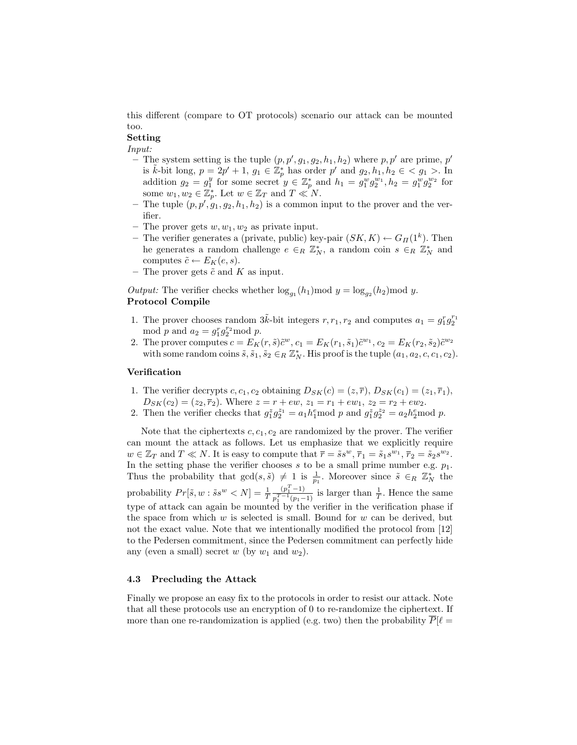this different (compare to OT protocols) scenario our attack can be mounted too.

# Setting

### Input:

- The system setting is the tuple  $(p, p', g_1, g_2, h_1, h_2)$  where  $p, p'$  are prime, p' is  $\tilde{k}$ -bit long,  $p = 2p' + 1$ ,  $g_1 \in \mathbb{Z}_p^*$  has order p' and  $g_2, h_1, h_2 \in \mathcal{L}$ ,  $g_1 > 0$ . addition  $g_2 = g_1^y$  for some secret  $y \in \mathbb{Z}_p^*$  and  $h_1 = g_1^w g_2^{w_1}, h_2 = g_1^w g_2^{w_2}$  for some  $w_1, w_2 \in \mathbb{Z}_p^*$ . Let  $w \in \mathbb{Z}_T$  and  $T \ll N$ .
- The tuple  $(p, p', g_1, g_2, h_1, h_2)$  is a common input to the prover and the verifier.
- The prover gets  $w, w_1, w_2$  as private input.
- The verifier generates a (private, public) key-pair  $(SK, K) \leftarrow G_{\Pi}(1^k)$ . Then he generates a random challenge  $e \in_R \mathbb{Z}_N^*$ , a random coin  $s \in_R \mathbb{Z}_N^*$  and computes  $\tilde{c} \leftarrow E_K(e, s)$ .
- The prover gets  $\tilde{c}$  and K as input.

Output: The verifier checks whether  $\log_{g_1}(h_1) \mod y = \log_{g_2}(h_2) \mod y$ . Protocol Compile

- 1. The prover chooses random  $3\tilde{k}$ -bit integers  $r, r_1, r_2$  and computes  $a_1 = g_1^r g_2^{r_1}$ mod p and  $a_2 = g_1^r g_2^{r_2}$  mod p.
- 2. The prover computes  $c = E_K(r, \tilde{s}) \tilde{c}^w$ ,  $c_1 = E_K(r_1, \tilde{s}_1) \tilde{c}^{w_1}$ ,  $c_2 = E_K(r_2, \tilde{s}_2) \tilde{c}^{w_2}$ with some random coins  $\tilde{s}, \tilde{s}_1, \tilde{s}_2 \in_R \mathbb{Z}_N^*$ . His proof is the tuple  $(a_1, a_2, c, c_1, c_2)$ .

### Verification

- 1. The verifier decrypts c,  $c_1$ ,  $c_2$  obtaining  $D_{SK}(c) = (z, \overline{r})$ ,  $D_{SK}(c_1) = (z_1, \overline{r}_1)$ ,  $D_{SK}(c_2) = (z_2, \overline{r}_2)$ . Where  $z = r + ew$ ,  $z_1 = r_1 + ew_1$ ,  $z_2 = r_2 + ew_2$ .
- 2. Then the verifier checks that  $g_1^z g_2^{z_1} = a_1 h_1^e \text{mod } p$  and  $g_1^z g_2^{z_2} = a_2 h_2^e \text{mod } p$ .

Note that the ciphertexts  $c, c_1, c_2$  are randomized by the prover. The verifier can mount the attack as follows. Let us emphasize that we explicitly require  $w \in \mathbb{Z}_T$  and  $T \ll N$ . It is easy to compute that  $\overline{r} = \tilde{s}s^w$ ,  $\overline{r}_1 = \tilde{s}_1s^{w_1}$ ,  $\overline{r}_2 = \tilde{s}_2s^{w_2}$ . In the setting phase the verifier chooses  $s$  to be a small prime number e.g.  $p_1$ . Thus the probability that  $gcd(s, \tilde{s}) \neq 1$  is  $\frac{1}{p_1}$ . Moreover since  $\tilde{s} \in_R \mathbb{Z}_N^*$  the probability  $Pr[\tilde{s}, w : \tilde{s}s^w < N] = \frac{1}{T}$  $(p_1^T - 1)$  $\frac{(p_1^2-1)}{p_1^{T-1}(p_1-1)}$  is larger than  $\frac{1}{T}$ . Hence the same type of attack can again be mounted by the verifier in the verification phase if the space from which  $w$  is selected is small. Bound for  $w$  can be derived, but not the exact value. Note that we intentionally modified the protocol from [12] to the Pedersen commitment, since the Pedersen commitment can perfectly hide any (even a small) secret w (by  $w_1$  and  $w_2$ ).

# 4.3 Precluding the Attack

Finally we propose an easy fix to the protocols in order to resist our attack. Note that all these protocols use an encryption of 0 to re-randomize the ciphertext. If more than one re-randomization is applied (e.g. two) then the probability  $\overline{P}[\ell =$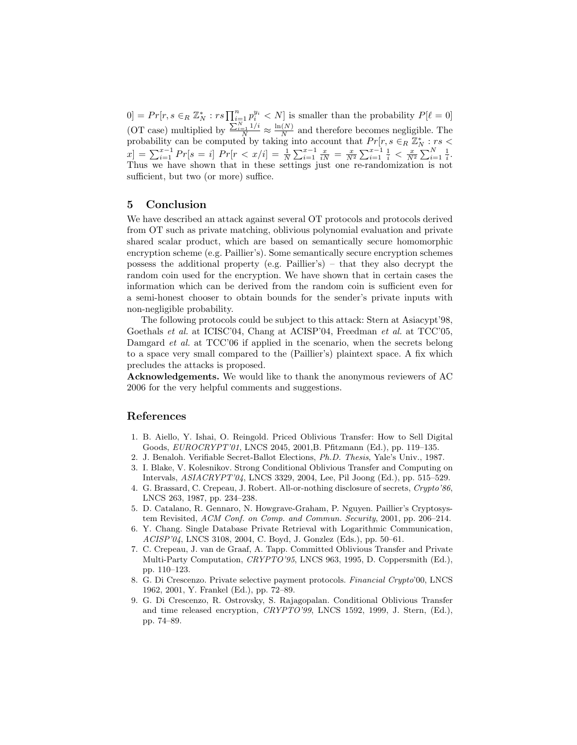$[0] = Pr[r, s \in_R \mathbb{Z}_N^* : rs \prod_{i=1}^n p_i^{y_i} < N]$  is smaller than the probability  $P[\ell = 0]$ (OT case) multiplied by  $\frac{\sum_{i=1}^{N} 1/i}{N} \approx \frac{\ln(N)}{N}$  $\frac{N}{N}$  and therefore becomes negligible. The probability can be computed by taking into account that  $Pr[r, s \in R \mathbb{Z}_N^* : rs <$  $x$ ] =  $\sum_{i=1}^{x-1} Pr[s = i]$   $Pr[r < x/i] = \frac{1}{N} \sum_{i=1}^{x-1} \frac{x}{iN} = \frac{x}{N^2} \sum_{i=1}^{x-1} \frac{1}{i} < \frac{x}{N^2} \sum_{i=1}^{N} \frac{1}{i}$ . Thus we have shown that in these settings just one re-randomization is not sufficient, but two (or more) suffice.

# 5 Conclusion

We have described an attack against several OT protocols and protocols derived from OT such as private matching, oblivious polynomial evaluation and private shared scalar product, which are based on semantically secure homomorphic encryption scheme (e.g. Paillier's). Some semantically secure encryption schemes possess the additional property (e.g. Paillier's) – that they also decrypt the random coin used for the encryption. We have shown that in certain cases the information which can be derived from the random coin is sufficient even for a semi-honest chooser to obtain bounds for the sender's private inputs with non-negligible probability.

The following protocols could be subject to this attack: Stern at Asiacypt'98, Goethals et al. at ICISC'04, Chang at ACISP'04, Freedman et al. at TCC'05, Damgard *et al.* at TCC'06 if applied in the scenario, when the secrets belong to a space very small compared to the (Paillier's) plaintext space. A fix which precludes the attacks is proposed.

Acknowledgements. We would like to thank the anonymous reviewers of AC 2006 for the very helpful comments and suggestions.

# References

- 1. B. Aiello, Y. Ishai, O. Reingold. Priced Oblivious Transfer: How to Sell Digital Goods, EUROCRYPT'01, LNCS 2045, 2001,B. Pfitzmann (Ed.), pp. 119–135.
- 2. J. Benaloh. Verifiable Secret-Ballot Elections, Ph.D. Thesis, Yale's Univ., 1987.
- 3. I. Blake, V. Kolesnikov. Strong Conditional Oblivious Transfer and Computing on Intervals, ASIACRYPT'04, LNCS 3329, 2004, Lee, Pil Joong (Ed.), pp. 515–529.
- 4. G. Brassard, C. Crepeau, J. Robert. All-or-nothing disclosure of secrets, Crypto'86, LNCS 263, 1987, pp. 234–238.
- 5. D. Catalano, R. Gennaro, N. Howgrave-Graham, P. Nguyen. Paillier's Cryptosystem Revisited, ACM Conf. on Comp. and Commun. Security, 2001, pp. 206–214.
- 6. Y. Chang. Single Database Private Retrieval with Logarithmic Communication, ACISP'04, LNCS 3108, 2004, C. Boyd, J. Gonzlez (Eds.), pp. 50–61.
- 7. C. Crepeau, J. van de Graaf, A. Tapp. Committed Oblivious Transfer and Private Multi-Party Computation, CRYPTO'95, LNCS 963, 1995, D. Coppersmith (Ed.), pp. 110–123.
- 8. G. Di Crescenzo. Private selective payment protocols. Financial Crypto'00, LNCS 1962, 2001, Y. Frankel (Ed.), pp. 72–89.
- 9. G. Di Crescenzo, R. Ostrovsky, S. Rajagopalan. Conditional Oblivious Transfer and time released encryption, CRYPTO'99, LNCS 1592, 1999, J. Stern, (Ed.), pp. 74–89.